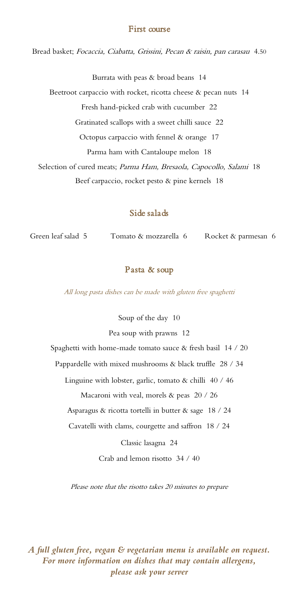## First course

Bread basket; Focaccia, Ciabatta, Grissini, Pecan & raisin, pan carasau 4.50

Burrata with peas & broad beans 14

Beetroot carpaccio with rocket, ricotta cheese & pecan nuts 14

Fresh hand-picked crab with cucumber 22

Gratinated scallops with a sweet chilli sauce 22

Octopus carpaccio with fennel & orange 17

Parma ham with Cantaloupe melon 18

Selection of cured meats; Parma Ham, Bresaola, Capocollo, Salami 18

Beef carpaccio, rocket pesto & pine kernels 18

# Side salads

Green leaf salad 5 Tomato & mozzarella 6 Rocket & parmesan 6

## Pasta & soup

All long pasta dishes can be made with gluten free spaghetti

Soup of the day 10

Pea soup with prawns 12

Spaghetti with home-made tomato sauce & fresh basil 14 / 20

Pappardelle with mixed mushrooms & black truffle 28 / 34

Linguine with lobster, garlic, tomato & chilli 40 / 46

Macaroni with veal, morels & peas 20 / 26

Asparagus & ricotta tortelli in butter & sage 18 / 24

Cavatelli with clams, courgette and saffron 18 / 24

Classic lasagna 24

Crab and lemon risotto 34 / 40

Please note that the risotto takes 20 minutes to prepare

*A full gluten free, vegan & vegetarian menu is available on request. For more information on dishes that may contain allergens, please ask your server*